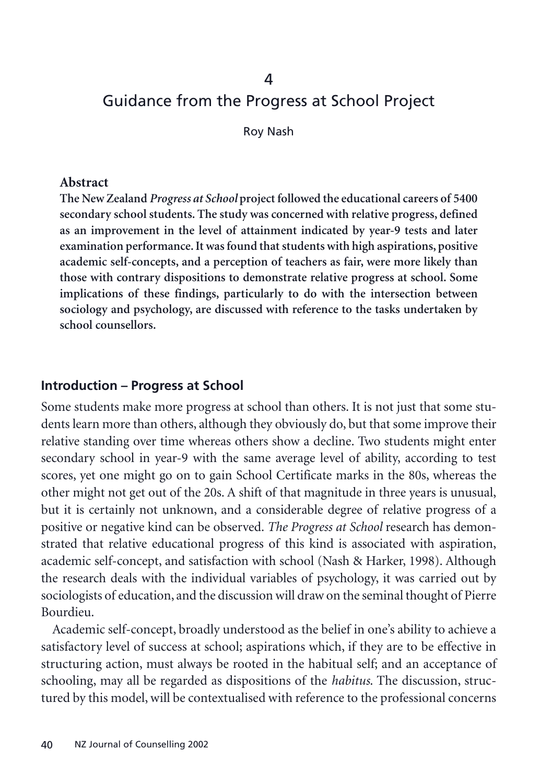# Guidance from the Progress at School Project

Roy Nash

#### **Abstract**

**The New Zealand** *Progress at School* **project followed the educational careers of 5400 secondary school students. The study was concerned with relative progress, defined as an improvement in the level of attainment indicated by year-9 tests and later examination performance. It was found that students with high aspirations, positive academic self-concepts, and a perception of teachers as fair, were more likely than those with contrary dispositions to demonstrate relative progress at school. Some implications of these findings, particularly to do with the intersection between sociology and psychology, are discussed with reference to the tasks undertaken by school counsellors.**

#### **Introduction – Progress at School**

Some students make more progress at school than others. It is not just that some students learn more than others, although they obviously do, but that some improve their relative standing over time whereas others show a decline. Two students might enter secondary school in year-9 with the same average level of ability, according to test scores, yet one might go on to gain School Certificate marks in the 80s, whereas the other might not get out of the 20s. A shift of that magnitude in three years is unusual, but it is certainly not unknown, and a considerable degree of relative progress of a positive or negative kind can be observed. *The Progress at School* research has demonstrated that relative educational progress of this kind is associated with aspiration, academic self-concept, and satisfaction with school (Nash & Harker, 1998). Although the research deals with the individual variables of psychology, it was carried out by sociologists of education, and the discussion will draw on the seminal thought of Pierre Bourdieu.

Academic self-concept, broadly understood as the belief in one's ability to achieve a satisfactory level of success at school; aspirations which, if they are to be effective in structuring action, must always be rooted in the habitual self; and an acceptance of schooling, may all be regarded as dispositions of the *habitus*. The discussion, structured by this model, will be contextualised with reference to the professional concerns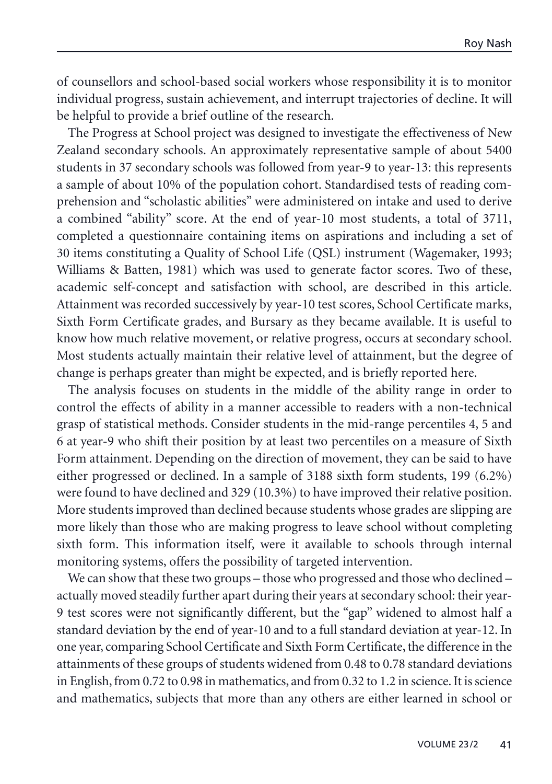of counsellors and school-based social workers whose responsibility it is to monitor individual progress, sustain achievement, and interrupt trajectories of decline. It will be helpful to provide a brief outline of the research.

The Progress at School project was designed to investigate the effectiveness of New Zealand secondary schools. An approximately representative sample of about 5400 students in 37 secondary schools was followed from year-9 to year-13: this represents a sample of about 10% of the population cohort. Standardised tests of reading comprehension and "scholastic abilities" were administered on intake and used to derive a combined "ability" score. At the end of year-10 most students, a total of 3711, completed a questionnaire containing items on aspirations and including a set of 30 items constituting a Quality of School Life (QSL) instrument (Wagemaker, 1993; Williams & Batten, 1981) which was used to generate factor scores. Two of these, academic self-concept and satisfaction with school, are described in this article. Attainment was recorded successively by year-10 test scores, School Certificate marks, Sixth Form Certificate grades, and Bursary as they became available. It is useful to know how much relative movement, or relative progress, occurs at secondary school. Most students actually maintain their relative level of attainment, but the degree of change is perhaps greater than might be expected, and is briefly reported here.

The analysis focuses on students in the middle of the ability range in order to control the effects of ability in a manner accessible to readers with a non-technical grasp of statistical methods. Consider students in the mid-range percentiles 4, 5 and 6 at year-9 who shift their position by at least two percentiles on a measure of Sixth Form attainment. Depending on the direction of movement, they can be said to have either progressed or declined. In a sample of 3188 sixth form students, 199 (6.2%) were found to have declined and 329 (10.3%) to have improved their relative position. More students improved than declined because students whose grades are slipping are more likely than those who are making progress to leave school without completing sixth form. This information itself, were it available to schools through internal monitoring systems, offers the possibility of targeted intervention.

We can show that these two groups – those who progressed and those who declined – actually moved steadily further apart during their years at secondary school: their year-9 test scores were not significantly different, but the "gap" widened to almost half a standard deviation by the end of year-10 and to a full standard deviation at year-12. In one year, comparing School Certificate and Sixth Form Certificate, the difference in the attainments of these groups of students widened from 0.48 to 0.78 standard deviations in English, from 0.72 to 0.98 in mathematics, and from 0.32 to 1.2 in science. It is science and mathematics, subjects that more than any others are either learned in school or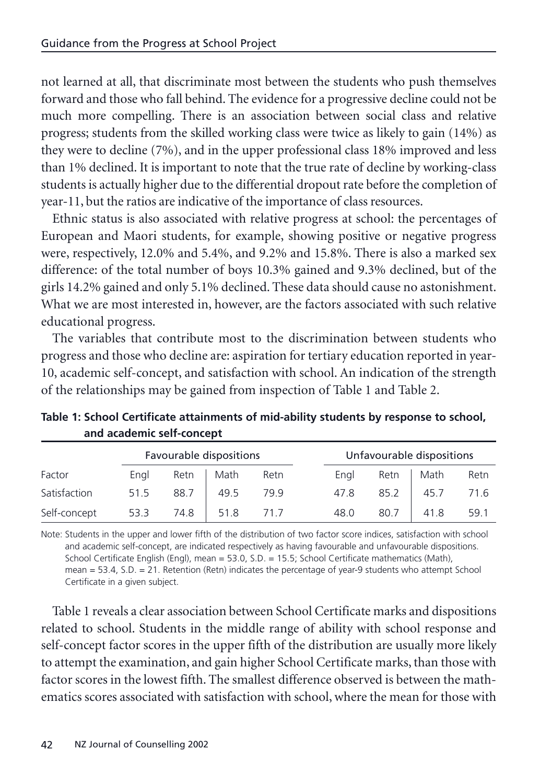<span id="page-2-0"></span>not learned at all, that discriminate most between the students who push themselves forward and those who fall behind. The evidence for a progressive decline could not be much more compelling. There is an association between social class and relative progress; students from the skilled working class were twice as likely to gain (14%) as they were to decline (7%), and in the upper professional class 18% improved and less than 1% declined. It is important to note that the true rate of decline by working-class students is actually higher due to the differential dropout rate before the completion of year-11, but the ratios are indicative of the importance of class resources.

Ethnic status is also associated with relative progress at school: the percentages of European and Maori students, for example, showing positive or negative progress were, respectively, 12.0% and 5.4%, and 9.2% and 15.8%. There is also a marked sex difference: of the total number of boys 10.3% gained and 9.3% declined, but of the girls 14.2% gained and only 5.1% declined. These data should cause no astonishment. What we are most interested in, however, are the factors associated with such relative educational progress.

The variables that contribute most to the discrimination between students who progress and those who decline are: aspiration for tertiary education reported in year-10, academic self-concept, and satisfaction with school. An indication of the strength of the relationships may be gained from inspection of Table 1 and Table 2.

|              | Favourable dispositions |      |      |      | Unfavourable dispositions |      |      |      |  |
|--------------|-------------------------|------|------|------|---------------------------|------|------|------|--|
| Factor       | Engl                    | Retn | Math | Retn | Engl                      | Retn | Math | Retn |  |
| Satisfaction | 51.5                    | 88.7 | 49.5 | 79.9 | 47.8                      | 85.2 | 45.7 | 71.6 |  |
| Self-concept | 53.3                    | 74.8 | 51.8 | 71.7 | 48.0                      | 80.7 | 41.8 | 59.1 |  |

**Table 1: School Certificate attainments of mid-ability students by response to school, and academic self-concept**

Note: Students in the upper and lower fifth of the distribution of two factor score indices, satisfaction with school and academic self-concept, are indicated respectively as having favourable and unfavourable dispositions. School Certificate English (Engl), mean = 53.0, S.D. = 15.5; School Certificate mathematics (Math), mean = 53.4, S.D. = 21. Retention (Retn) indicates the percentage of year-9 students who attempt School Certificate in a given subject.

Table 1 reveals a clear association between School Certificate marks and dispositions related to school. Students in the middle range of ability with school response and self-concept factor scores in the upper fifth of the distribution are usually more likely to attempt the examination, and gain higher School Certificate marks, than those with factor scores in the lowest fifth. The smallest difference observed is between the mathematics scores associated with satisfaction with school, where the mean for those with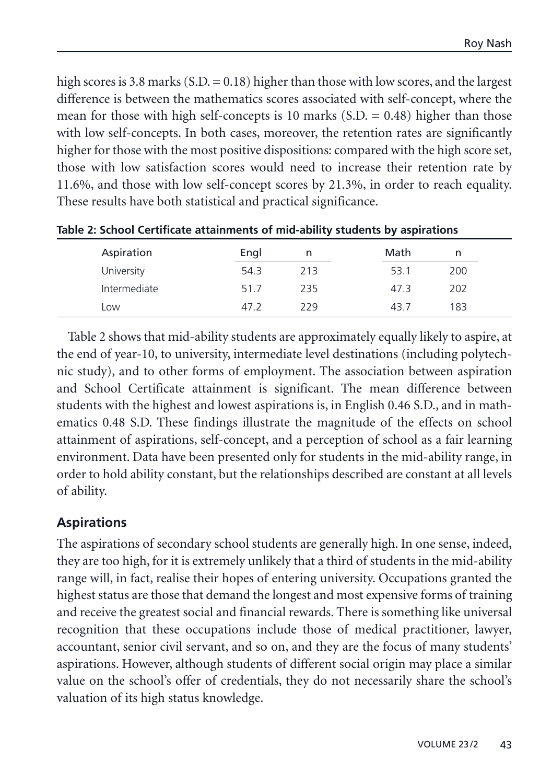high scores is 3.8 marks (S.D. = 0.18) higher than those with low scores, and the largest difference is between the mathematics scores associated with self-concept, where the mean for those with high self-concepts is 10 marks  $(S.D. = 0.48)$  higher than those with low self-concepts. In both cases, moreover, the retention rates are significantly higher for those with the most positive dispositions: compared with the high score set, those with low satisfaction scores would need to increase their retention rate by 11.6%, and those with low self-concept scores by 21.3%, in order to reach equality. These results have both statistical and practical significance.

| Aspiration   | Engl | n   | Math | n   |  |
|--------------|------|-----|------|-----|--|
| University   | 54.3 | 213 | 53.1 | 200 |  |
| Intermediate | 51.7 | 235 | 47.3 | 202 |  |
| Low          | 47.2 | 229 | 43 7 | 183 |  |

**Table 2: School Certificate attainments of mid-ability students by aspirations**

Table 2 shows that mid-ability students are approximately equally likely to aspire, at the end of year-10, to university, intermediate level destinations (including polytechnic study), and to other forms of employment. The association between aspiration and School Certificate attainment is significant. The mean difference between students with the highest and lowest aspirations is, in English 0.46 S.D., and in mathematics 0.48 S.D. These findings illustrate the magnitude of the effects on school attainment of aspirations, self-concept, and a perception of school as a fair learning environment. Data have been presented only for students in the mid-ability range, in order to hold ability constant, but the relationships described are constant at all levels of ability.

### **Aspirations**

The aspirations of secondary school students are generally high. In one sense, indeed, they are too high, for it is extremely unlikely that a third of students in the mid-ability range will, in fact, realise their hopes of entering university. Occupations granted the highest status are those that demand the longest and most expensive forms of training and receive the greatest social and financial rewards. There is something like universal recognition that these occupations include those of medical practitioner, lawyer, accountant, senior civil servant, and so on, and they are the focus of many students' aspirations. However, although students of different social origin may place a similar value on the school's offer of credentials, they do not necessarily share the school's valuation of its high status knowledge.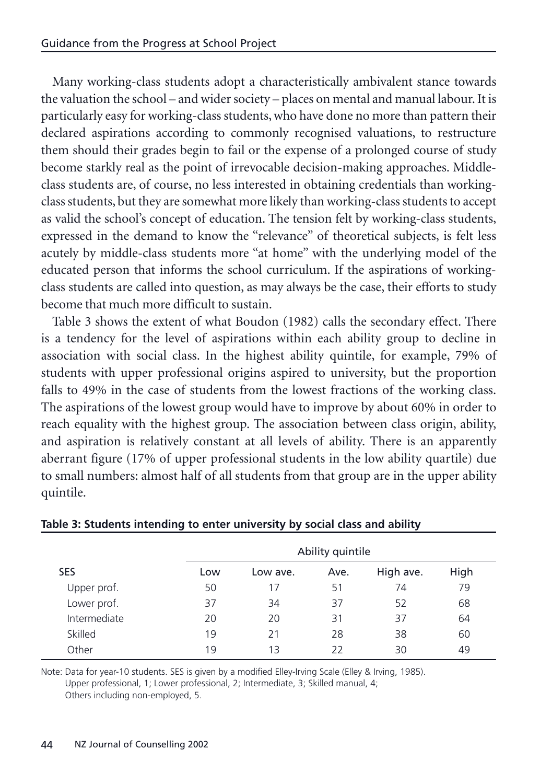Many working-class students adopt a characteristically ambivalent stance towards the valuation the school – and wider society – places on mental and manual labour. It is particularly easy for working-class students, who have done no more than pattern their declared aspirations according to commonly recognised valuations, to restructure them should their grades begin to fail or the expense of a prolonged course of study become starkly real as the point of irrevocable decision-making approaches. Middleclass students are, of course, no less interested in obtaining credentials than workingclass students, but they are somewhat more likely than working-class students to accept as valid the school's concept of education. The tension felt by working-class students, expressed in the demand to know the "relevance" of theoretical subjects, is felt less acutely by middle-class students more "at home" with the underlying model of the educated person that informs the school curriculum. If the aspirations of workingclass students are called into question, as may always be the case, their efforts to study become that much more difficult to sustain.

Table 3 shows the extent of what Boudon (1982) calls the secondary effect. There is a tendency for the level of aspirations within each ability group to decline in association with social class. In the highest ability quintile, for example, 79% of students with upper professional origins aspired to university, but the proportion falls to 49% in the case of students from the lowest fractions of the working class. The aspirations of the lowest group would have to improve by about 60% in order to reach equality with the highest group. The association between class origin, ability, and aspiration is relatively constant at all levels of ability. There is an apparently aberrant figure (17% of upper professional students in the low ability quartile) due to small numbers: almost half of all students from that group are in the upper ability quintile.

|              |     | Ability quintile |      |           |      |  |  |  |
|--------------|-----|------------------|------|-----------|------|--|--|--|
| <b>SES</b>   | Low | Low ave.         | Ave. | High ave. | High |  |  |  |
| Upper prof.  | 50  | 17               | 51   | 74        | 79   |  |  |  |
| Lower prof.  | 37  | 34               | 37   | 52        | 68   |  |  |  |
| Intermediate | 20  | 20               | 31   | 37        | 64   |  |  |  |
| Skilled      | 19  | 21               | 28   | 38        | 60   |  |  |  |
| Other        | 19  | 13               | 22   | 30        | 49   |  |  |  |

#### **Table 3: Students intending to enter university by social class and ability**

Note: Data for year-10 students. SES is given by a modified Elley-Irving Scale (Elley & Irving, 1985). Upper professional, 1; Lower professional, 2; Intermediate, 3; Skilled manual, 4; Others including non-employed, 5.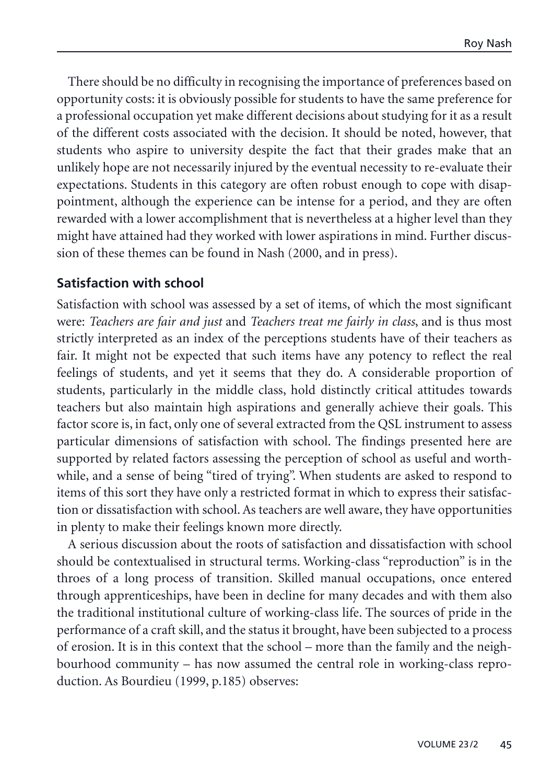There should be no difficulty in recognising the importance of preferences based on opportunity costs: it is obviously possible for students to have the same preference for a professional occupation yet make different decisions about studying for it as a result of the different costs associated with the decision. It should be noted, however, that students who aspire to university despite the fact that their grades make that an unlikely hope are not necessarily injured by the eventual necessity to re-evaluate their expectations. Students in this category are often robust enough to cope with disappointment, although the experience can be intense for a period, and they are often rewarded with a lower accomplishment that is nevertheless at a higher level than they might have attained had they worked with lower aspirations in mind. Further discussion of these themes can be found in Nash (2000, and in press).

### **Satisfaction with school**

Satisfaction with school was assessed by a set of items, of which the most significant were: *Teachers are fair and just* and *Teachers treat me fairly in class*, and is thus most strictly interpreted as an index of the perceptions students have of their teachers as fair. It might not be expected that such items have any potency to reflect the real feelings of students, and yet it seems that they do. A considerable proportion of students, particularly in the middle class, hold distinctly critical attitudes towards teachers but also maintain high aspirations and generally achieve their goals. This factor score is, in fact, only one of several extracted from the QSL instrument to assess particular dimensions of satisfaction with school. The findings presented here are supported by related factors assessing the perception of school as useful and worthwhile, and a sense of being "tired of trying". When students are asked to respond to items of this sort they have only a restricted format in which to express their satisfaction or dissatisfaction with school. As teachers are well aware, they have opportunities in plenty to make their feelings known more directly.

A serious discussion about the roots of satisfaction and dissatisfaction with school should be contextualised in structural terms. Working-class "reproduction" is in the throes of a long process of transition. Skilled manual occupations, once entered through apprenticeships, have been in decline for many decades and with them also the traditional institutional culture of working-class life. The sources of pride in the performance of a craft skill, and the status it brought, have been subjected to a process of erosion. It is in this context that the school – more than the family and the neighbourhood community – has now assumed the central role in working-class reproduction. As Bourdieu (1999, p.185) observes: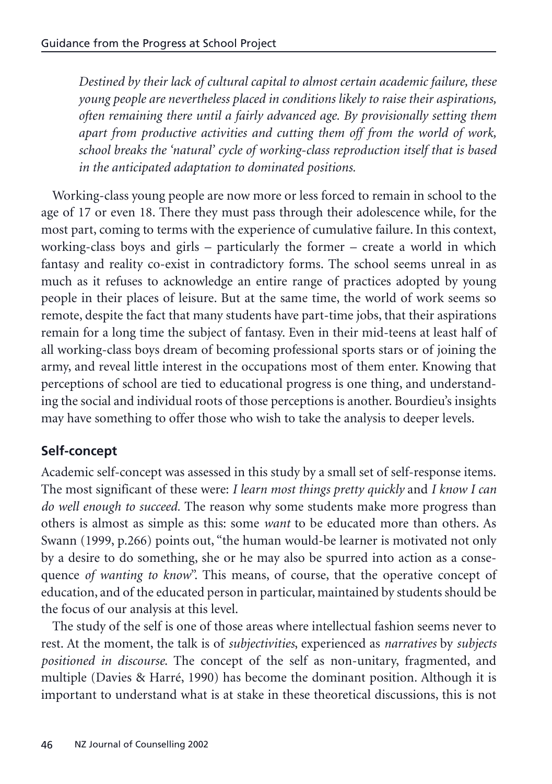*Destined by their lack of cultural capital to almost certain academic failure, these young people are nevertheless placed in conditions likely to raise their aspirations, often remaining there until a fairly advanced age. By provisionally setting them apart from productive activities and cutting them off from the world of work, school breaks the 'natural' cycle of working-class reproduction itself that is based in the anticipated adaptation to dominated positions.*

Working-class young people are now more or less forced to remain in school to the age of 17 or even 18. There they must pass through their adolescence while, for the most part, coming to terms with the experience of cumulative failure. In this context, working-class boys and girls – particularly the former – create a world in which fantasy and reality co-exist in contradictory forms. The school seems unreal in as much as it refuses to acknowledge an entire range of practices adopted by young people in their places of leisure. But at the same time, the world of work seems so remote, despite the fact that many students have part-time jobs, that their aspirations remain for a long time the subject of fantasy. Even in their mid-teens at least half of all working-class boys dream of becoming professional sports stars or of joining the army, and reveal little interest in the occupations most of them enter. Knowing that perceptions of school are tied to educational progress is one thing, and understanding the social and individual roots of those perceptions is another. Bourdieu's insights may have something to offer those who wish to take the analysis to deeper levels.

## **Self-concept**

Academic self-concept was assessed in this study by a small set of self-response items. The most significant of these were: *I learn most things pretty quickly* and *I know I can do well enough to succeed.* The reason why some students make more progress than others is almost as simple as this: some *want* to be educated more than others. As Swann (1999, p.266) points out, "the human would-be learner is motivated not only by a desire to do something, she or he may also be spurred into action as a consequence *of wanting to know*". This means, of course, that the operative concept of education, and of the educated person in particular, maintained by students should be the focus of our analysis at this level.

The study of the self is one of those areas where intellectual fashion seems never to rest. At the moment, the talk is of *subjectivities*, experienced as *narratives* by *subjects positioned in discourse*. The concept of the self as non-unitary, fragmented, and multiple (Davies & Harré, 1990) has become the dominant position. Although it is important to understand what is at stake in these theoretical discussions, this is not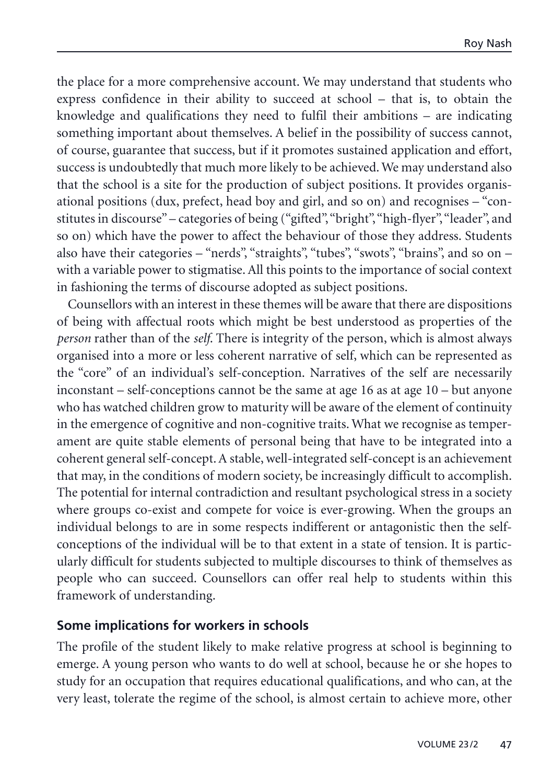the place for a more comprehensive account. We may understand that students who express confidence in their ability to succeed at school – that is, to obtain the knowledge and qualifications they need to fulfil their ambitions – are indicating something important about themselves. A belief in the possibility of success cannot, of course, guarantee that success, but if it promotes sustained application and effort, success is undoubtedly that much more likely to be achieved. We may understand also that the school is a site for the production of subject positions. It provides organisational positions (dux, prefect, head boy and girl, and so on) and recognises – "constitutes in discourse" – categories of being ("gifted", "bright", "high-flyer", "leader", and so on) which have the power to affect the behaviour of those they address. Students also have their categories – "nerds", "straights", "tubes", "swots", "brains", and so on – with a variable power to stigmatise. All this points to the importance of social context in fashioning the terms of discourse adopted as subject positions.

Counsellors with an interest in these themes will be aware that there are dispositions of being with affectual roots which might be best understood as properties of the *person* rather than of the *self*. There is integrity of the person, which is almost always organised into a more or less coherent narrative of self, which can be represented as the "core" of an individual's self-conception. Narratives of the self are necessarily inconstant – self-conceptions cannot be the same at age 16 as at age 10 – but anyone who has watched children grow to maturity will be aware of the element of continuity in the emergence of cognitive and non-cognitive traits. What we recognise as temperament are quite stable elements of personal being that have to be integrated into a coherent general self-concept. A stable, well-integrated self-concept is an achievement that may, in the conditions of modern society, be increasingly difficult to accomplish. The potential for internal contradiction and resultant psychological stress in a society where groups co-exist and compete for voice is ever-growing. When the groups an individual belongs to are in some respects indifferent or antagonistic then the selfconceptions of the individual will be to that extent in a state of tension. It is particularly difficult for students subjected to multiple discourses to think of themselves as people who can succeed. Counsellors can offer real help to students within this framework of understanding.

### **Some implications for workers in schools**

The profile of the student likely to make relative progress at school is beginning to emerge. A young person who wants to do well at school, because he or she hopes to study for an occupation that requires educational qualifications, and who can, at the very least, tolerate the regime of the school, is almost certain to achieve more, other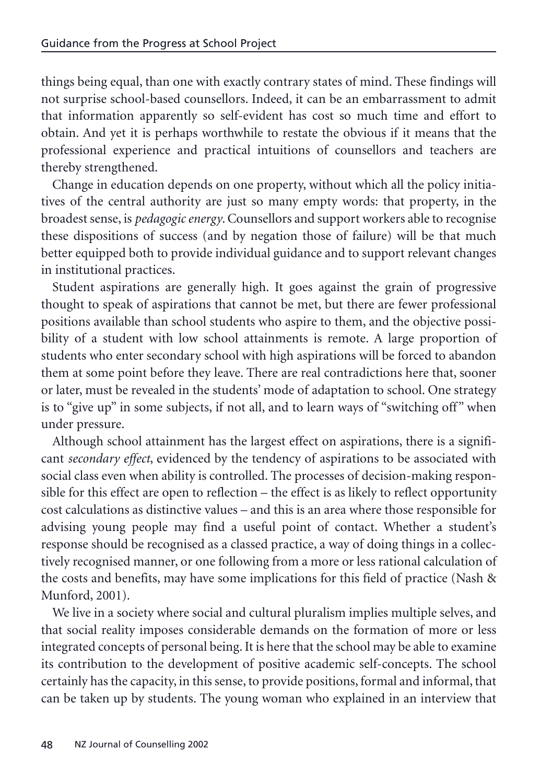things being equal, than one with exactly contrary states of mind. These findings will not surprise school-based counsellors. Indeed, it can be an embarrassment to admit that information apparently so self-evident has cost so much time and effort to obtain. And yet it is perhaps worthwhile to restate the obvious if it means that the professional experience and practical intuitions of counsellors and teachers are thereby strengthened.

Change in education depends on one property, without which all the policy initiatives of the central authority are just so many empty words: that property, in the broadest sense, is *pedagogic energy*. Counsellors and support workers able to recognise these dispositions of success (and by negation those of failure) will be that much better equipped both to provide individual guidance and to support relevant changes in institutional practices.

Student aspirations are generally high. It goes against the grain of progressive thought to speak of aspirations that cannot be met, but there are fewer professional positions available than school students who aspire to them, and the objective possibility of a student with low school attainments is remote. A large proportion of students who enter secondary school with high aspirations will be forced to abandon them at some point before they leave. There are real contradictions here that, sooner or later, must be revealed in the students' mode of adaptation to school. One strategy is to "give up" in some subjects, if not all, and to learn ways of "switching off" when under pressure.

Although school attainment has the largest effect on aspirations, there is a significant *secondary effect*, evidenced by the tendency of aspirations to be associated with social class even when ability is controlled. The processes of decision-making responsible for this effect are open to reflection – the effect is as likely to reflect opportunity cost calculations as distinctive values – and this is an area where those responsible for advising young people may find a useful point of contact. Whether a student's response should be recognised as a classed practice, a way of doing things in a collectively recognised manner, or one following from a more or less rational calculation of the costs and benefits, may have some implications for this field of practice (Nash & Munford, 2001).

We live in a society where social and cultural pluralism implies multiple selves, and that social reality imposes considerable demands on the formation of more or less integrated concepts of personal being. It is here that the school may be able to examine its contribution to the development of positive academic self-concepts. The school certainly has the capacity, in this sense, to provide positions, formal and informal, that can be taken up by students. The young woman who explained in an interview that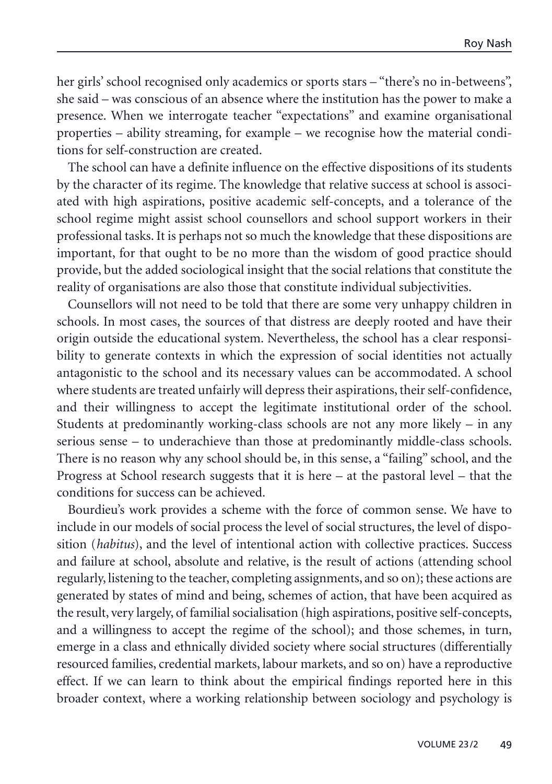her girls' school recognised only academics or sports stars – "there's no in-betweens", she said – was conscious of an absence where the institution has the power to make a presence. When we interrogate teacher "expectations" and examine organisational properties – ability streaming, for example – we recognise how the material conditions for self-construction are created.

The school can have a definite influence on the effective dispositions of its students by the character of its regime. The knowledge that relative success at school is associated with high aspirations, positive academic self-concepts, and a tolerance of the school regime might assist school counsellors and school support workers in their professional tasks. It is perhaps not so much the knowledge that these dispositions are important, for that ought to be no more than the wisdom of good practice should provide, but the added sociological insight that the social relations that constitute the reality of organisations are also those that constitute individual subjectivities.

Counsellors will not need to be told that there are some very unhappy children in schools. In most cases, the sources of that distress are deeply rooted and have their origin outside the educational system. Nevertheless, the school has a clear responsibility to generate contexts in which the expression of social identities not actually antagonistic to the school and its necessary values can be accommodated. A school where students are treated unfairly will depress their aspirations, their self-confidence, and their willingness to accept the legitimate institutional order of the school. Students at predominantly working-class schools are not any more likely – in any serious sense – to underachieve than those at predominantly middle-class schools. There is no reason why any school should be, in this sense, a "failing" school, and the Progress at School research suggests that it is here – at the pastoral level – that the conditions for success can be achieved.

Bourdieu's work provides a scheme with the force of common sense. We have to include in our models of social process the level of social structures, the level of disposition (*habitus*), and the level of intentional action with collective practices. Success and failure at school, absolute and relative, is the result of actions (attending school regularly, listening to the teacher, completing assignments, and so on); these actions are generated by states of mind and being, schemes of action, that have been acquired as the result, very largely, of familial socialisation (high aspirations, positive self-concepts, and a willingness to accept the regime of the school); and those schemes, in turn, emerge in a class and ethnically divided society where social structures (differentially resourced families, credential markets, labour markets, and so on) have a reproductive effect. If we can learn to think about the empirical findings reported here in this broader context, where a working relationship between sociology and psychology is